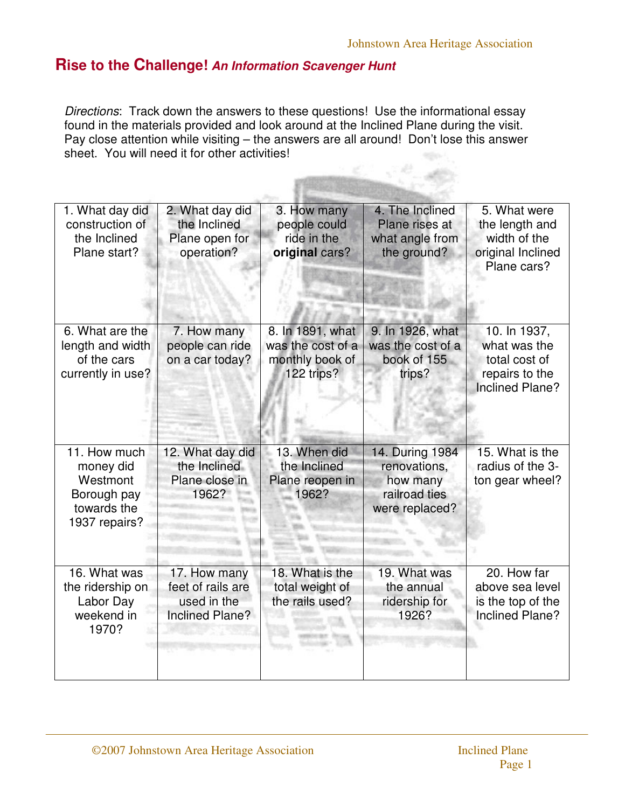## **Rise to the Challenge! An Information Scavenger Hunt**

Directions: Track down the answers to these questions! Use the informational essay found in the materials provided and look around at the Inclined Plane during the visit. Pay close attention while visiting – the answers are all around! Don't lose this answer sheet. You will need it for other activities!

| 1. What day did<br>construction of<br>the Inclined<br>Plane start?                   | 2. What day did<br>the Inclined<br>Plane open for<br>operation?            | 3. How many<br>people could<br>ride in the<br>original cars?           | 4. The Inclined<br>Plane rises at<br>what angle from<br>the ground?            | 5. What were<br>the length and<br>width of the<br>original Inclined<br>Plane cars?        |  |
|--------------------------------------------------------------------------------------|----------------------------------------------------------------------------|------------------------------------------------------------------------|--------------------------------------------------------------------------------|-------------------------------------------------------------------------------------------|--|
| 6. What are the<br>length and width<br>of the cars<br>currently in use?              | 7. How many<br>people can ride<br>on a car today?                          | 8. In 1891, what<br>was the cost of a<br>monthly book of<br>122 trips? | 9. In 1926, what<br>was the cost of a<br>book of 155<br>trips?                 | 10. In 1937,<br>what was the<br>total cost of<br>repairs to the<br><b>Inclined Plane?</b> |  |
| 11. How much<br>money did<br>Westmont<br>Borough pay<br>towards the<br>1937 repairs? | 12. What day did<br>the Inclined<br>Plane close in<br>1962?                | 13. When did<br>the Inclined<br>Plane reopen in<br>1962?               | 14. During 1984<br>renovations,<br>how many<br>railroad ties<br>were replaced? | 15. What is the<br>radius of the 3-<br>ton gear wheel?                                    |  |
| 16. What was<br>the ridership on<br>Labor Day<br>weekend in<br>1970?                 | 17. How many<br>feet of rails are<br>used in the<br><b>Inclined Plane?</b> | 18. What is the<br>total weight of<br>the rails used?                  | 19. What was<br>the annual<br>ridership for<br>1926?                           | 20. How far<br>above sea level<br>is the top of the<br><b>Inclined Plane?</b>             |  |